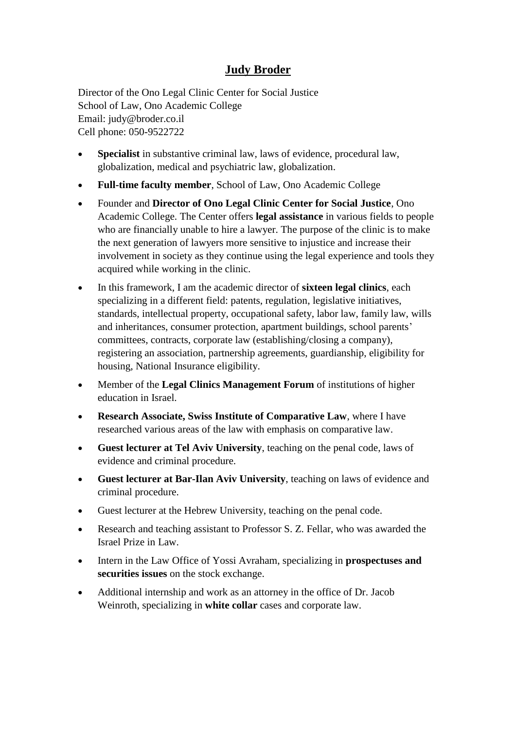## **Judy Broder**

Director of the Ono Legal Clinic Center for Social Justice School of Law, Ono Academic College Email: judy@broder.co.il Cell phone: 050-9522722

- **Specialist** in substantive criminal law, laws of evidence, procedural law, globalization, medical and psychiatric law, globalization.
- **Full-time faculty member**, School of Law, Ono Academic College
- Founder and **Director of Ono Legal Clinic Center for Social Justice**, Ono Academic College. The Center offers **legal assistance** in various fields to people who are financially unable to hire a lawyer. The purpose of the clinic is to make the next generation of lawyers more sensitive to injustice and increase their involvement in society as they continue using the legal experience and tools they acquired while working in the clinic.
- In this framework, I am the academic director of **sixteen legal clinics**, each specializing in a different field: patents, regulation, legislative initiatives, standards, intellectual property, occupational safety, labor law, family law, wills and inheritances, consumer protection, apartment buildings, school parents' committees, contracts, corporate law (establishing/closing a company), registering an association, partnership agreements, guardianship, eligibility for housing, National Insurance eligibility.
- Member of the **Legal Clinics Management Forum** of institutions of higher education in Israel.
- **Research Associate, Swiss Institute of Comparative Law**, where I have researched various areas of the law with emphasis on comparative law.
- **Guest lecturer at Tel Aviv University**, teaching on the penal code, laws of evidence and criminal procedure.
- **Guest lecturer at Bar-Ilan Aviv University**, teaching on laws of evidence and criminal procedure.
- Guest lecturer at the Hebrew University, teaching on the penal code.
- Research and teaching assistant to Professor S. Z. Fellar, who was awarded the Israel Prize in Law.
- Intern in the Law Office of Yossi Avraham, specializing in **prospectuses and securities issues** on the stock exchange.
- Additional internship and work as an attorney in the office of Dr. Jacob Weinroth, specializing in **white collar** cases and corporate law.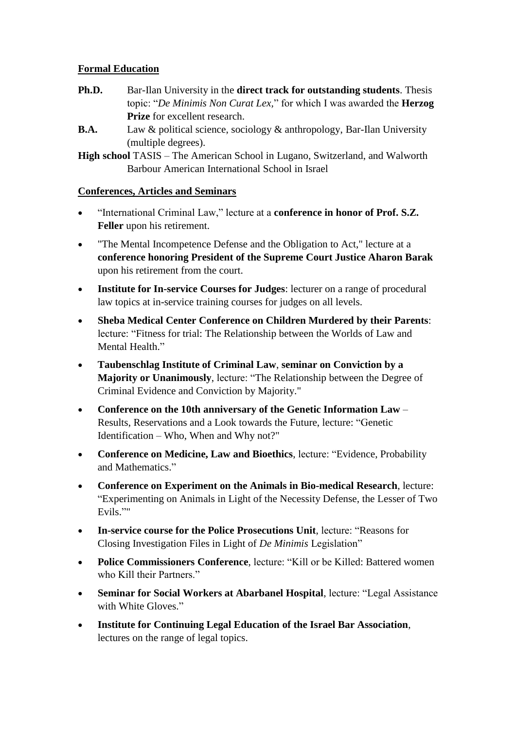## **Formal Education**

- **Ph.D.** Bar-Ilan University in the **direct track for outstanding students**. Thesis topic: "*De Minimis Non Curat Lex,*" for which I was awarded the **Herzog Prize** for excellent research.
- **B.A.** Law & political science, sociology & anthropology, Bar-Ilan University (multiple degrees).

**High school** TASIS – The American School in Lugano, Switzerland, and Walworth Barbour American International School in Israel

## **Conferences, Articles and Seminars**

- "International Criminal Law," lecture at a **conference in honor of Prof. S.Z. Feller** upon his retirement.
- "The Mental Incompetence Defense and the Obligation to Act," lecture at a **conference honoring President of the Supreme Court Justice Aharon Barak** upon his retirement from the court.
- **Institute for In-service Courses for Judges**: lecturer on a range of procedural law topics at in-service training courses for judges on all levels.
- **Sheba Medical Center Conference on Children Murdered by their Parents**: lecture: "Fitness for trial: The Relationship between the Worlds of Law and Mental Health."
- **Taubenschlag Institute of Criminal Law**, **seminar on Conviction by a Majority or Unanimously**, lecture: "The Relationship between the Degree of Criminal Evidence and Conviction by Majority."
- **Conference on the 10th anniversary of the Genetic Information Law** Results, Reservations and a Look towards the Future, lecture: "Genetic Identification – Who, When and Why not?"
- **Conference on Medicine, Law and Bioethics**, lecture: "Evidence, Probability and Mathematics."
- **Conference on Experiment on the Animals in Bio-medical Research**, lecture: "Experimenting on Animals in Light of the Necessity Defense, the Lesser of Two Evils.""
- **In-service course for the Police Prosecutions Unit**, lecture: "Reasons for Closing Investigation Files in Light of *De Minimis* Legislation"
- **Police Commissioners Conference**, lecture: "Kill or be Killed: Battered women who Kill their Partners."
- **Seminar for Social Workers at Abarbanel Hospital**, lecture: "Legal Assistance with White Gloves."
- **Institute for Continuing Legal Education of the Israel Bar Association**, lectures on the range of legal topics.